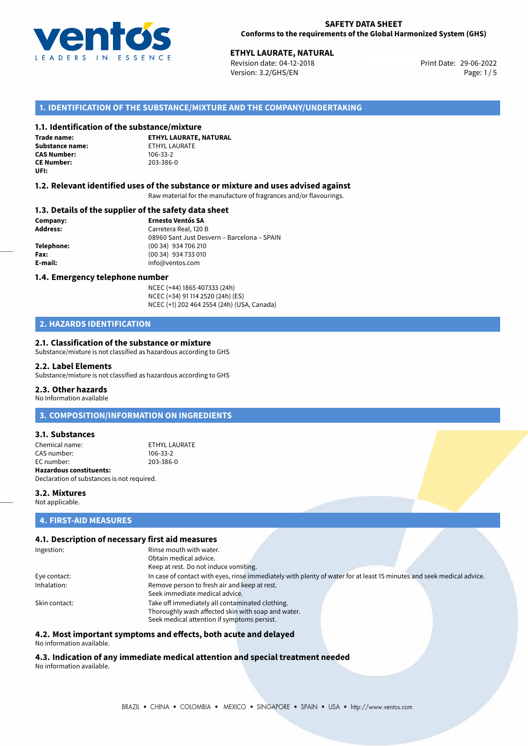

Revision date: 04-12-2018 Version: 3.2/GHS/EN Page: 1/5

#### **1. IDENTIFICATION OF THE SUBSTANCE/MIXTURE AND THE COMPANY/UNDERTAKING**

#### **1.1. Identification of the substance/mixture**

**Trade name: Substance name:** ETHYL LAURATE<br> **CAS Number:** 106-33-2 **CAS Number: CE Number:** 203-386-0 **UFI:**

**ETHYL LAURATE, NATURAL**

#### **1.2. Relevant identified uses of the substance or mixture and uses advised against**

Raw material for the manufacture of fragrances and/or flavourings.

#### **1.3. Details of the supplier of the safety data sheet**

**Company: Ernesto Ventós SA Address:** Carretera Real, 120 B 08960 Sant Just Desvern – Barcelona – SPAIN **Telephone:** (00 34) 934 706 210 **Fax:** (00 34) 934 733 010 **E-mail:** info@ventos.com

#### **1.4. Emergency telephone number**

NCEC (+44) 1865 407333 (24h) NCEC (+34) 91 114 2520 (24h) (ES) NCEC (+1) 202 464 2554 (24h) (USA, Canada)

## **2. HAZARDS IDENTIFICATION**

#### **2.1. Classification of the substance or mixture**

Substance/mixture is not classified as hazardous according to GHS

#### **2.2. Label Elements**

Substance/mixture is not classified as hazardous according to GHS

#### **2.3. Other hazards**

No Information available

**3. COMPOSITION/INFORMATION ON INGREDIENTS**

#### **3.1. Substances**

Chemical name:<br>
CAS number:<br>
CAS number:<br>
106-33-2 CAS number: EC number: 203-386-0 **Hazardous constituents:**

Declaration of substances is not required.

#### **3.2. Mixtures**

Not applicable.

## **4. FIRST-AID MEASURES**

#### **4.1. Description of necessary first aid measures**

| Ingestion:    | Rinse mouth with water.                                                                                               |
|---------------|-----------------------------------------------------------------------------------------------------------------------|
|               | Obtain medical advice.                                                                                                |
|               | Keep at rest. Do not induce vomiting.                                                                                 |
| Eye contact:  | In case of contact with eyes, rinse immediately with plenty of water for at least 15 minutes and seek medical advice. |
| Inhalation:   | Remove person to fresh air and keep at rest.                                                                          |
|               | Seek immediate medical advice.                                                                                        |
| Skin contact: | Take off immediately all contaminated clothing.                                                                       |
|               | Thoroughly wash affected skin with soap and water.                                                                    |
|               | Seek medical attention if symptoms persist.                                                                           |

## **4.2. Most important symptoms and effects, both acute and delayed**

No information available.

**4.3. Indication of any immediate medical attention and special treatment needed** No information available.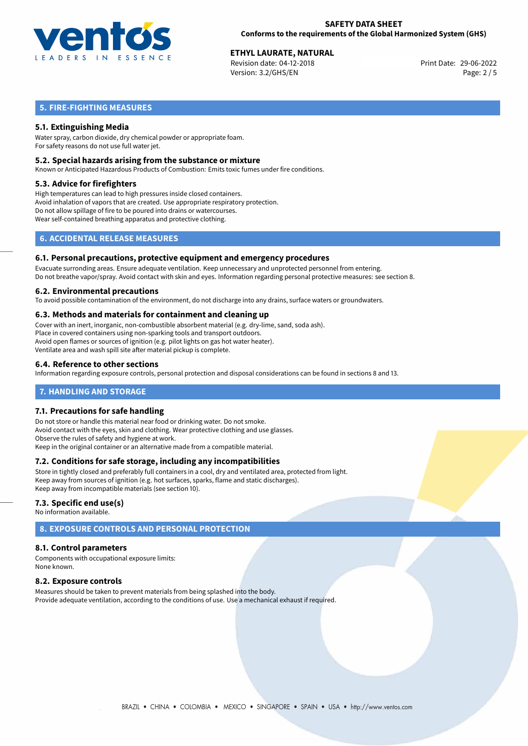

Revision date: 04-12-2018 Version: 3.2/GHS/EN Page: 2 / 5

## **5. FIRE-FIGHTING MEASURES**

### **5.1. Extinguishing Media**

Water spray, carbon dioxide, dry chemical powder or appropriate foam. For safety reasons do not use full water jet.

#### **5.2. Special hazards arising from the substance or mixture**

Known or Anticipated Hazardous Products of Combustion: Emits toxic fumes under fire conditions.

#### **5.3. Advice for firefighters**

High temperatures can lead to high pressures inside closed containers. Avoid inhalation of vapors that are created. Use appropriate respiratory protection. Do not allow spillage of fire to be poured into drains or watercourses. Wear self-contained breathing apparatus and protective clothing.

## **6. ACCIDENTAL RELEASE MEASURES**

#### **6.1. Personal precautions, protective equipment and emergency procedures**

Evacuate surronding areas. Ensure adequate ventilation. Keep unnecessary and unprotected personnel from entering. Do not breathe vapor/spray. Avoid contact with skin and eyes. Information regarding personal protective measures: see section 8.

#### **6.2. Environmental precautions**

To avoid possible contamination of the environment, do not discharge into any drains, surface waters or groundwaters.

#### **6.3. Methods and materials for containment and cleaning up**

Cover with an inert, inorganic, non-combustible absorbent material (e.g. dry-lime, sand, soda ash). Place in covered containers using non-sparking tools and transport outdoors. Avoid open flames or sources of ignition (e.g. pilot lights on gas hot water heater). Ventilate area and wash spill site after material pickup is complete.

#### **6.4. Reference to other sections**

Information regarding exposure controls, personal protection and disposal considerations can be found in sections 8 and 13.

#### **7. HANDLING AND STORAGE**

#### **7.1. Precautions for safe handling**

Do not store or handle this material near food or drinking water. Do not smoke. Avoid contact with the eyes, skin and clothing. Wear protective clothing and use glasses. Observe the rules of safety and hygiene at work. Keep in the original container or an alternative made from a compatible material.

#### **7.2. Conditions for safe storage, including any incompatibilities**

Store in tightly closed and preferably full containers in a cool, dry and ventilated area, protected from light. Keep away from sources of ignition (e.g. hot surfaces, sparks, flame and static discharges). Keep away from incompatible materials (see section 10).

#### **7.3. Specific end use(s)**

No information available.

## **8. EXPOSURE CONTROLS AND PERSONAL PROTECTION**

#### **8.1. Control parameters**

Components with occupational exposure limits: None known.

#### **8.2. Exposure controls**

Measures should be taken to prevent materials from being splashed into the body. Provide adequate ventilation, according to the conditions of use. Use a mechanical exhaust if required.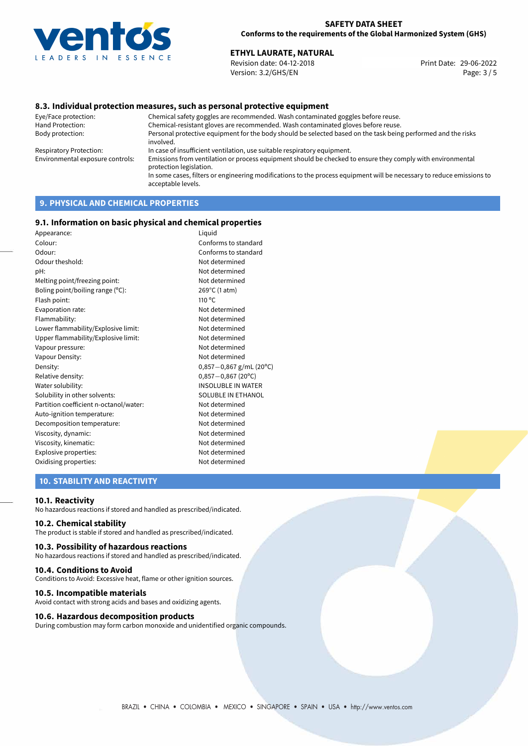

Revision date: 04-12-2018 Version: 3.2/GHS/EN Page: 3 / 5

#### **8.3. Individual protection measures, such as personal protective equipment**

Eye/Face protection: Chemical safety goggles are recommended. Wash contaminated goggles before reuse. Chemical-resistant gloves are recommended. Wash contaminated gloves before reuse. Body protection: Personal protective equipment for the body should be selected based on the task being performed and the risks involved. Respiratory Protection: In case of insufficient ventilation, use suitable respiratory equipment. Environmental exposure controls: Emissions from ventilation or process equipment should be checked to ensure they comply with environmental protection legislation. In some cases, filters or engineering modifications to the process equipment will be necessary to reduce emissions to acceptable levels.

## **9. PHYSICAL AND CHEMICAL PROPERTIES**

#### **9.1. Information on basic physical and chemical properties**

| Liquid                    |
|---------------------------|
| Conforms to standard      |
| Conforms to standard      |
| Not determined            |
| Not determined            |
| Not determined            |
| 269°C (1 atm)             |
| 110 $\degree$ C           |
| Not determined            |
| Not determined            |
| Not determined            |
| Not determined            |
| Not determined            |
| Not determined            |
| $0,857-0,867$ g/mL (20°C) |
| $0,857 - 0,867$ (20°C)    |
| <b>INSOLUBLE IN WATER</b> |
| SOLUBLE IN ETHANOL        |
| Not determined            |
| Not determined            |
| Not determined            |
| Not determined            |
| Not determined            |
| Not determined            |
| Not determined            |
|                           |

#### **10. STABILITY AND REACTIVITY**

#### **10.1. Reactivity**

No hazardous reactions if stored and handled as prescribed/indicated.

#### **10.2. Chemical stability**

The product is stable if stored and handled as prescribed/indicated.

#### **10.3. Possibility of hazardous reactions**

No hazardous reactions if stored and handled as prescribed/indicated.

#### **10.4. Conditions to Avoid**

Conditions to Avoid: Excessive heat, flame or other ignition sources.

#### **10.5. Incompatible materials**

Avoid contact with strong acids and bases and oxidizing agents.

#### **10.6. Hazardous decomposition products**

During combustion may form carbon monoxide and unidentified organic compounds.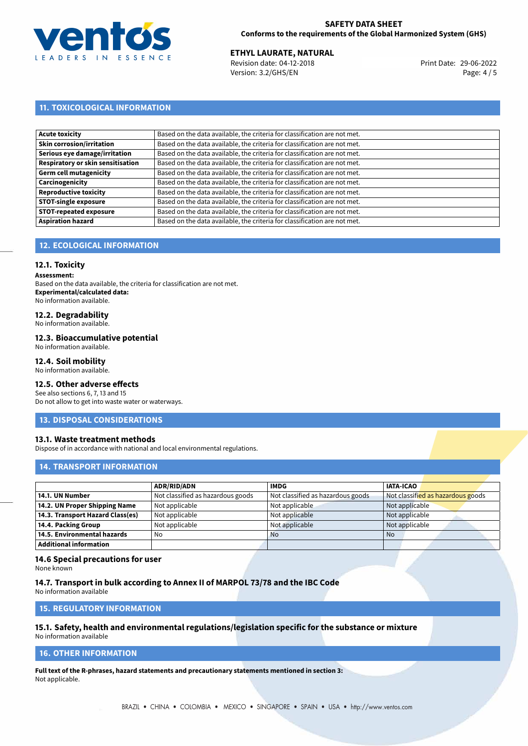

Revision date: 04-12-2018 Version: 3.2/GHS/EN Page: 4 / 5

## **11. TOXICOLOGICAL INFORMATION**

| Acute toxicity                    | Based on the data available, the criteria for classification are not met. |
|-----------------------------------|---------------------------------------------------------------------------|
| <b>Skin corrosion/irritation</b>  | Based on the data available, the criteria for classification are not met. |
| Serious eye damage/irritation     | Based on the data available, the criteria for classification are not met. |
| Respiratory or skin sensitisation | Based on the data available, the criteria for classification are not met. |
| Germ cell mutagenicity            | Based on the data available, the criteria for classification are not met. |
| <b>Carcinogenicity</b>            | Based on the data available, the criteria for classification are not met. |
| Reproductive toxicity             | Based on the data available, the criteria for classification are not met. |
| <b>STOT-single exposure</b>       | Based on the data available, the criteria for classification are not met. |
| <b>STOT-repeated exposure</b>     | Based on the data available, the criteria for classification are not met. |
| <b>Aspiration hazard</b>          | Based on the data available, the criteria for classification are not met. |

## **12. ECOLOGICAL INFORMATION**

#### **12.1. Toxicity**

**Assessment:**

Based on the data available, the criteria for classification are not met. **Experimental/calculated data:** No information available.

## **12.2. Degradability**

No information available.

#### **12.3. Bioaccumulative potential**

No information available.

#### **12.4. Soil mobility**

No information available.

## **12.5. Other adverse effects**

See also sections 6, 7, 13 and 15 Do not allow to get into waste water or waterways.

#### **13. DISPOSAL CONSIDERATIONS**

#### **13.1. Waste treatment methods**

Dispose of in accordance with national and local environmental regulations.

#### **14. TRANSPORT INFORMATION**

|                                  | <b>ADR/RID/ADN</b>                | <b>IMDG</b>                       | <b>IATA-ICAO</b>                  |
|----------------------------------|-----------------------------------|-----------------------------------|-----------------------------------|
| 14.1. UN Number                  | Not classified as hazardous goods | Not classified as hazardous goods | Not classified as hazardous goods |
| 14.2. UN Proper Shipping Name    | Not applicable                    | Not applicable                    | Not applicable                    |
| 14.3. Transport Hazard Class(es) | Not applicable                    | Not applicable                    | Not applicable                    |
| 14.4. Packing Group              | Not applicable                    | Not applicable                    | Not applicable                    |
| 14.5. Environmental hazards      | No                                | <b>No</b>                         | <b>No</b>                         |
| Additional information           |                                   |                                   |                                   |

#### **14.6 Special precautions for user**

None known

#### **14.7. Transport in bulk according to Annex II of MARPOL 73/78 and the IBC Code**

No information available

## **15. REGULATORY INFORMATION**

## **15.1. Safety, health and environmental regulations/legislation specific for the substance or mixture**

No information available

## **16. OTHER INFORMATION**

**Full text of the R-phrases, hazard statements and precautionary statements mentioned in section 3:** Not applicable.